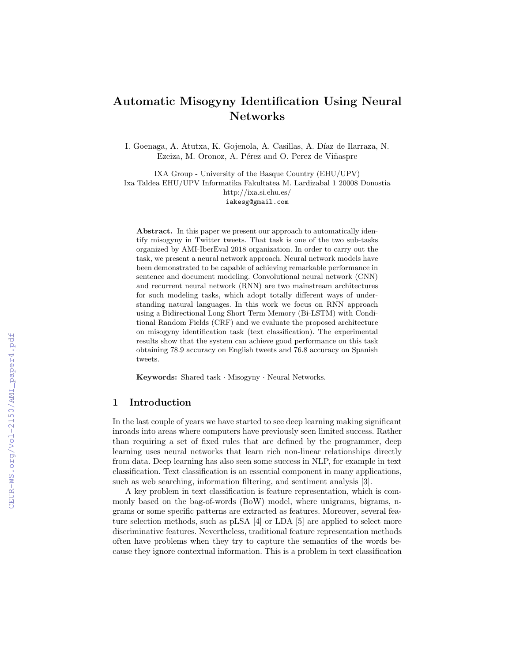# Automatic Misogyny Identification Using Neural Networks

I. Goenaga, A. Atutxa, K. Gojenola, A. Casillas, A. Díaz de Ilarraza, N. Ezeiza, M. Oronoz, A. Pérez and O. Perez de Viñaspre

IXA Group - University of the Basque Country (EHU/UPV) Ixa Taldea EHU/UPV Informatika Fakultatea M. Lardizabal 1 20008 Donostia http://ixa.si.ehu.es/ iakesg@gmail.com

Abstract. In this paper we present our approach to automatically identify misogyny in Twitter tweets. That task is one of the two sub-tasks organized by AMI-IberEval 2018 organization. In order to carry out the task, we present a neural network approach. Neural network models have been demonstrated to be capable of achieving remarkable performance in sentence and document modeling. Convolutional neural network (CNN) and recurrent neural network (RNN) are two mainstream architectures for such modeling tasks, which adopt totally different ways of understanding natural languages. In this work we focus on RNN approach using a Bidirectional Long Short Term Memory (Bi-LSTM) with Conditional Random Fields (CRF) and we evaluate the proposed architecture on misogyny identification task (text classification). The experimental results show that the system can achieve good performance on this task obtaining 78.9 accuracy on English tweets and 76.8 accuracy on Spanish tweets.

Keywords: Shared task · Misogyny · Neural Networks.

### 1 Introduction

In the last couple of years we have started to see deep learning making significant inroads into areas where computers have previously seen limited success. Rather than requiring a set of fixed rules that are defined by the programmer, deep learning uses neural networks that learn rich non-linear relationships directly from data. Deep learning has also seen some success in NLP, for example in text classification. Text classification is an essential component in many applications, such as web searching, information filtering, and sentiment analysis [3].

A key problem in text classification is feature representation, which is commonly based on the bag-of-words (BoW) model, where unigrams, bigrams, ngrams or some specific patterns are extracted as features. Moreover, several feature selection methods, such as pLSA [4] or LDA [5] are applied to select more discriminative features. Nevertheless, traditional feature representation methods often have problems when they try to capture the semantics of the words because they ignore contextual information. This is a problem in text classification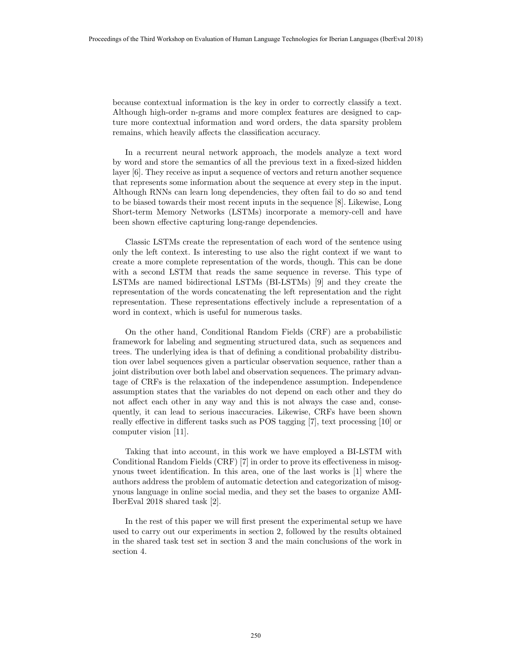because contextual information is the key in order to correctly classify a text. Although high-order n-grams and more complex features are designed to capture more contextual information and word orders, the data sparsity problem remains, which heavily affects the classification accuracy.

In a recurrent neural network approach, the models analyze a text word by word and store the semantics of all the previous text in a fixed-sized hidden layer [6]. They receive as input a sequence of vectors and return another sequence that represents some information about the sequence at every step in the input. Although RNNs can learn long dependencies, they often fail to do so and tend to be biased towards their most recent inputs in the sequence [8]. Likewise, Long Short-term Memory Networks (LSTMs) incorporate a memory-cell and have been shown effective capturing long-range dependencies.

Classic LSTMs create the representation of each word of the sentence using only the left context. Is interesting to use also the right context if we want to create a more complete representation of the words, though. This can be done with a second LSTM that reads the same sequence in reverse. This type of LSTMs are named bidirectional LSTMs (BI-LSTMs) [9] and they create the representation of the words concatenating the left representation and the right representation. These representations effectively include a representation of a word in context, which is useful for numerous tasks.

On the other hand, Conditional Random Fields (CRF) are a probabilistic framework for labeling and segmenting structured data, such as sequences and trees. The underlying idea is that of defining a conditional probability distribution over label sequences given a particular observation sequence, rather than a joint distribution over both label and observation sequences. The primary advantage of CRFs is the relaxation of the independence assumption. Independence assumption states that the variables do not depend on each other and they do not affect each other in any way and this is not always the case and, consequently, it can lead to serious inaccuracies. Likewise, CRFs have been shown really effective in different tasks such as POS tagging [7], text processing [10] or computer vision [11].

Taking that into account, in this work we have employed a BI-LSTM with Conditional Random Fields (CRF) [7] in order to prove its effectiveness in misogynous tweet identification. In this area, one of the last works is [1] where the authors address the problem of automatic detection and categorization of misogynous language in online social media, and they set the bases to organize AMI-IberEval 2018 shared task [2].

In the rest of this paper we will first present the experimental setup we have used to carry out our experiments in section 2, followed by the results obtained in the shared task test set in section 3 and the main conclusions of the work in section 4.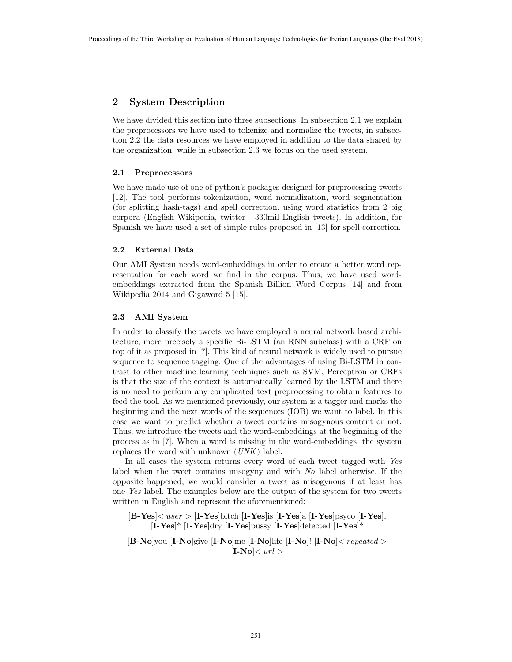# 2 System Description

We have divided this section into three subsections. In subsection 2.1 we explain the preprocessors we have used to tokenize and normalize the tweets, in subsection 2.2 the data resources we have employed in addition to the data shared by the organization, while in subsection 2.3 we focus on the used system.

#### 2.1 Preprocessors

We have made use of one of python's packages designed for preprocessing tweets [12]. The tool performs tokenization, word normalization, word segmentation (for splitting hash-tags) and spell correction, using word statistics from 2 big corpora (English Wikipedia, twitter - 330mil English tweets). In addition, for Spanish we have used a set of simple rules proposed in [13] for spell correction.

#### 2.2 External Data

Our AMI System needs word-embeddings in order to create a better word representation for each word we find in the corpus. Thus, we have used wordembeddings extracted from the Spanish Billion Word Corpus [14] and from Wikipedia 2014 and Gigaword 5 [15].

#### 2.3 AMI System

In order to classify the tweets we have employed a neural network based architecture, more precisely a specific Bi-LSTM (an RNN subclass) with a CRF on top of it as proposed in [7]. This kind of neural network is widely used to pursue sequence to sequence tagging. One of the advantages of using Bi-LSTM in contrast to other machine learning techniques such as SVM, Perceptron or CRFs is that the size of the context is automatically learned by the LSTM and there is no need to perform any complicated text preprocessing to obtain features to feed the tool. As we mentioned previously, our system is a tagger and marks the beginning and the next words of the sequences (IOB) we want to label. In this case we want to predict whether a tweet contains misogynous content or not. Thus, we introduce the tweets and the word-embeddings at the beginning of the process as in [7]. When a word is missing in the word-embeddings, the system replaces the word with unknown (UNK) label.

In all cases the system returns every word of each tweet tagged with Yes label when the tweet contains misogyny and with No label otherwise. If the opposite happened, we would consider a tweet as misogynous if at least has one Yes label. The examples below are the output of the system for two tweets written in English and represent the aforementioned:

 $[B-Yes] \langle user \rangle$  [I-Yes]bitch [I-Yes]is [I-Yes]a [I-Yes]psyco [I-Yes],  $[I-Yes]^*$  [I-Yes]dry [I-Yes]pussy [I-Yes]detected [I-Yes]\*

 $[B-No]$ you  $[I-No]$ give  $[I-No]$ me  $[I-No]$ life  $[I-No]$ !  $[I-No] < repeated$  $|I-No| < url >$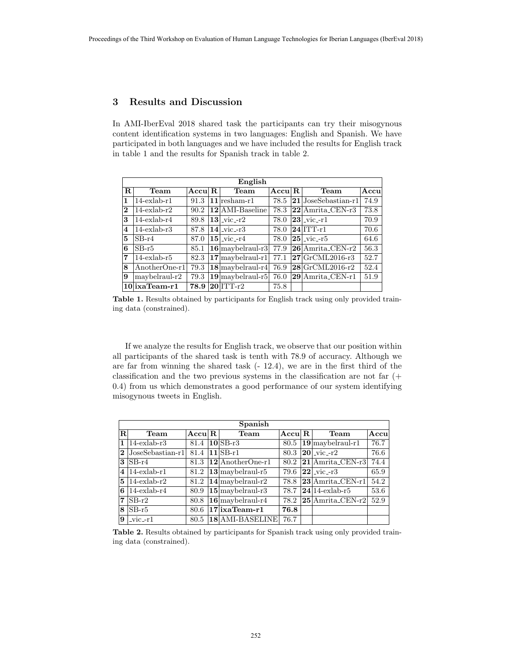# 3 Results and Discussion

In AMI-IberEval 2018 shared task the participants can try their misogynous content identification systems in two languages: English and Spanish. We have participated in both languages and we have included the results for English track in table 1 and the results for Spanish track in table 2.

| English |                   |                |  |                                        |              |  |                                  |      |  |  |  |
|---------|-------------------|----------------|--|----------------------------------------|--------------|--|----------------------------------|------|--|--|--|
| R.      | Team              | $\rm Accul\,R$ |  | Team                                   | $\rm Accu R$ |  | Team                             | Accu |  |  |  |
| 1       | $14$ -exlab-r $1$ | 91.3           |  | $ 11 $ resham-r $1$                    | 78.5         |  | $ 21 $ JoseSebastian-r1          | 74.9 |  |  |  |
| 2       | $14$ -exlab-r $2$ | 90.2           |  | $ 12 $ AMI-Baseline                    | 78.3         |  | $ 22 $ Amrita <sub>-CEN-r3</sub> | 73.8 |  |  |  |
| 3       | $14$ -exlab-r $4$ | 89.8           |  | $ 13 $ <sub>-ViC</sub> -r <sub>2</sub> | 78.0         |  | $ 23 $ <sub>-ViC</sub> -r1       | 70.9 |  |  |  |
| 4       | $14$ -exlab-r $3$ | 87.8           |  | $ 14 $ <sub>-ViC</sub> -r <sub>3</sub> | 78.0         |  | $ 24 $ ITT-r1                    | 70.6 |  |  |  |
| 5       | $SB-r4$           | 87.0           |  | $ 15 $ -vic-r4                         | 78.0         |  | $ 25 $ -vic--r5                  | 64.6 |  |  |  |
| 6       | $SB-r5$           | 85.1           |  | $\vert 16 \vert$ maybelraul-r3 $\vert$ | 77.9         |  | $ 26 $ Amrita_CEN-r2             | 56.3 |  |  |  |
| 7       | $14$ -exlab-r $5$ | 82.3           |  | $\vert 17 \vert$ maybelraul-r1 $\vert$ | 77.1         |  | $ 27 $ GrCML2016-r3              | 52.7 |  |  |  |
| 8       | AnotherOne-r1     | 79.3           |  | $18$ maybelraul-r4                     | 76.9         |  | $ 28 $ GrCML2016-r2              | 52.4 |  |  |  |
| 9       | maybelraul-r2     | 79.3           |  | $19$ maybelraul-r5                     | 76.0         |  | $ 29 $ Amrita <sub>-CEN-r1</sub> | 51.9 |  |  |  |
|         | $10$ ixaTeam-r1   | 78.9           |  | $ 20 $ ITT-r $2$                       | 75.8         |  |                                  |      |  |  |  |

Table 1. Results obtained by participants for English track using only provided training data (constrained).

If we analyze the results for English track, we observe that our position within all participants of the shared task is tenth with 78.9 of accuracy. Although we are far from winning the shared task (- 12.4), we are in the first third of the classification and the two previous systems in the classification are not far (+ 0.4) from us which demonstrates a good performance of our system identifying misogynous tweets in English.

| Spanish  |                        |                    |  |                                     |              |  |                                       |      |  |  |  |  |
|----------|------------------------|--------------------|--|-------------------------------------|--------------|--|---------------------------------------|------|--|--|--|--|
| R.       | Team                   | $\rm Accu\vert\,R$ |  | <b>Team</b>                         | $\rm Accu R$ |  | Team                                  | Accu |  |  |  |  |
| 1        | $14$ -exlab-r $3$      | 81.4               |  | $ 10 SB-r3$                         | 80.5         |  | $19$ maybelraul-r1                    | 76.7 |  |  |  |  |
| $\bf{2}$ | $ JoseSebastian-r1 $   | 81.4               |  | $ 11 SB-r1$                         | 80.3         |  | $ 20 $ <sub>-Vic</sub> <sub>-r2</sub> | 76.6 |  |  |  |  |
| 3        | $ SB-r4 $              | 81.3               |  | $ 12 $ AnotherOne-r1                | 80.2         |  | $ 21 $ Amrita <sub>-CEN-r3</sub>      | 74.4 |  |  |  |  |
|          | $4 14$ -exlab-r1       | 81.2               |  | $\vert 13 \vert$ may be let raul-r5 | 79.6         |  | $ 22 $ vic $-r3$                      | 65.9 |  |  |  |  |
|          | $5 \vert 14$ -exlab-r2 | 81.2               |  | $ 14 $ maybelraul-r2                | 78.8         |  | $ 23 $ Amrita_CEN-r1                  | 54.2 |  |  |  |  |
|          | $6 \vert 14$ -exlab-r4 | 80.9               |  | $15$ maybelraul-r3                  | 78.7         |  | $ 24 14$ -exlab-r5                    | 53.6 |  |  |  |  |
| 7        | $ SB-r2 $              | 80.8               |  | $16$ maybelraul-r4                  |              |  | $78.2$  25 Amrita_CEN-r2              | 52.9 |  |  |  |  |
| 8        | $ SB-r5$               | 80.6               |  | $\overline{17}$ ixaTeam-r1          | 76.8         |  |                                       |      |  |  |  |  |
| 9        | $ $ vic <sub>-r1</sub> | 80.5               |  | 18 AMI-BASELINE                     | 76.7         |  |                                       |      |  |  |  |  |

Table 2. Results obtained by participants for Spanish track using only provided training data (constrained).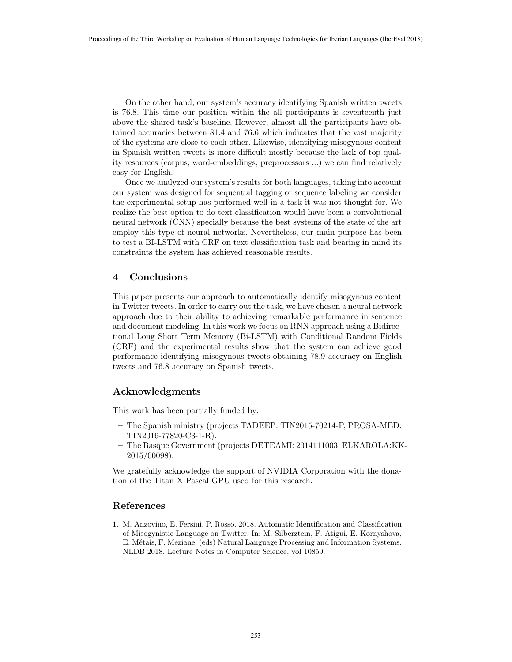On the other hand, our system's accuracy identifying Spanish written tweets is 76.8. This time our position within the all participants is seventeenth just above the shared task's baseline. However, almost all the participants have obtained accuracies between 81.4 and 76.6 which indicates that the vast majority of the systems are close to each other. Likewise, identifying misogynous content in Spanish written tweets is more difficult mostly because the lack of top quality resources (corpus, word-embeddings, preprocessors ...) we can find relatively easy for English.

Once we analyzed our system's results for both languages, taking into account our system was designed for sequential tagging or sequence labeling we consider the experimental setup has performed well in a task it was not thought for. We realize the best option to do text classification would have been a convolutional neural network (CNN) specially because the best systems of the state of the art employ this type of neural networks. Nevertheless, our main purpose has been to test a BI-LSTM with CRF on text classification task and bearing in mind its constraints the system has achieved reasonable results.

#### 4 Conclusions

This paper presents our approach to automatically identify misogynous content in Twitter tweets. In order to carry out the task, we have chosen a neural network approach due to their ability to achieving remarkable performance in sentence and document modeling. In this work we focus on RNN approach using a Bidirectional Long Short Term Memory (Bi-LSTM) with Conditional Random Fields (CRF) and the experimental results show that the system can achieve good performance identifying misogynous tweets obtaining 78.9 accuracy on English tweets and 76.8 accuracy on Spanish tweets.

## Acknowledgments

This work has been partially funded by:

- The Spanish ministry (projects TADEEP: TIN2015-70214-P, PROSA-MED: TIN2016-77820-C3-1-R).
- The Basque Government (projects DETEAMI: 2014111003, ELKAROLA:KK-2015/00098).

We gratefully acknowledge the support of NVIDIA Corporation with the donation of the Titan X Pascal GPU used for this research.

## References

1. M. Anzovino, E. Fersini, P. Rosso. 2018. Automatic Identification and Classification of Misogynistic Language on Twitter. In: M. Silberztein, F. Atigui, E. Kornyshova, E. Métais, F. Meziane. (eds) Natural Language Processing and Information Systems. NLDB 2018. Lecture Notes in Computer Science, vol 10859.